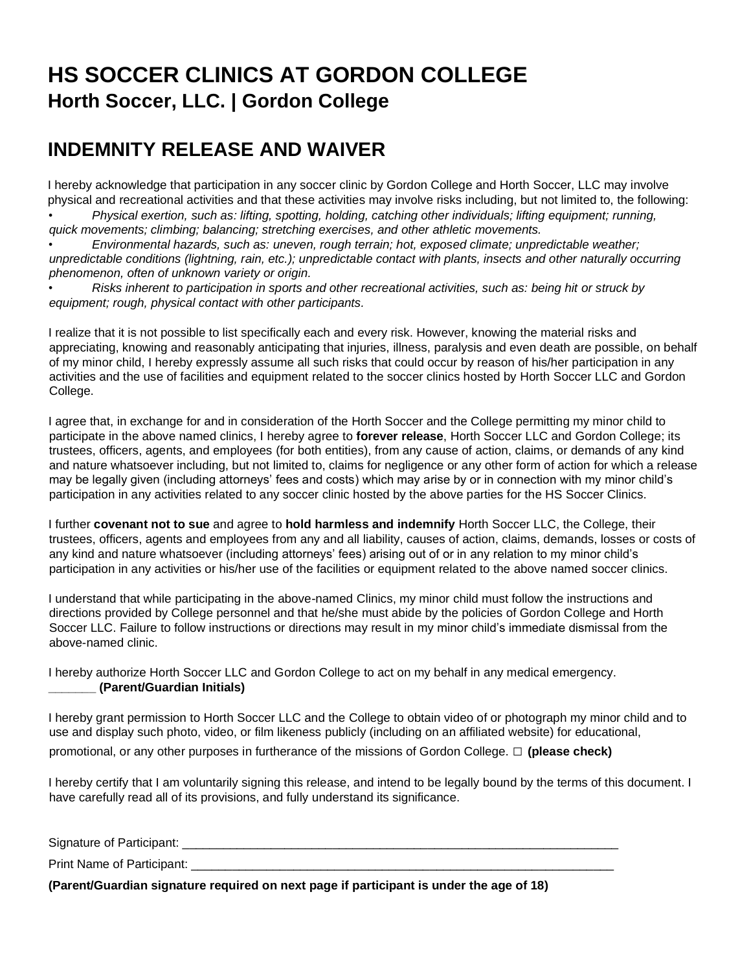## **HS SOCCER CLINICS AT GORDON COLLEGE Horth Soccer, LLC. | Gordon College**

## **INDEMNITY RELEASE AND WAIVER**

I hereby acknowledge that participation in any soccer clinic by Gordon College and Horth Soccer, LLC may involve physical and recreational activities and that these activities may involve risks including, but not limited to, the following: • *Physical exertion, such as: lifting, spotting, holding, catching other individuals; lifting equipment; running,* 

*quick movements; climbing; balancing; stretching exercises, and other athletic movements.*

• *Environmental hazards, such as: uneven, rough terrain; hot, exposed climate; unpredictable weather; unpredictable conditions (lightning, rain, etc.); unpredictable contact with plants, insects and other naturally occurring phenomenon, often of unknown variety or origin.*

• *Risks inherent to participation in sports and other recreational activities, such as: being hit or struck by equipment; rough, physical contact with other participants.* 

I realize that it is not possible to list specifically each and every risk. However, knowing the material risks and appreciating, knowing and reasonably anticipating that injuries, illness, paralysis and even death are possible, on behalf of my minor child, I hereby expressly assume all such risks that could occur by reason of his/her participation in any activities and the use of facilities and equipment related to the soccer clinics hosted by Horth Soccer LLC and Gordon College.

I agree that, in exchange for and in consideration of the Horth Soccer and the College permitting my minor child to participate in the above named clinics, I hereby agree to **forever release**, Horth Soccer LLC and Gordon College; its trustees, officers, agents, and employees (for both entities), from any cause of action, claims, or demands of any kind and nature whatsoever including, but not limited to, claims for negligence or any other form of action for which a release may be legally given (including attorneys' fees and costs) which may arise by or in connection with my minor child's participation in any activities related to any soccer clinic hosted by the above parties for the HS Soccer Clinics.

I further **covenant not to sue** and agree to **hold harmless and indemnify** Horth Soccer LLC, the College, their trustees, officers, agents and employees from any and all liability, causes of action, claims, demands, losses or costs of any kind and nature whatsoever (including attorneys' fees) arising out of or in any relation to my minor child's participation in any activities or his/her use of the facilities or equipment related to the above named soccer clinics.

I understand that while participating in the above-named Clinics, my minor child must follow the instructions and directions provided by College personnel and that he/she must abide by the policies of Gordon College and Horth Soccer LLC. Failure to follow instructions or directions may result in my minor child's immediate dismissal from the above-named clinic.

I hereby authorize Horth Soccer LLC and Gordon College to act on my behalf in any medical emergency. **\_\_\_\_\_\_\_ (Parent/Guardian Initials)** 

I hereby grant permission to Horth Soccer LLC and the College to obtain video of or photograph my minor child and to use and display such photo, video, or film likeness publicly (including on an affiliated website) for educational, promotional, or any other purposes in furtherance of the missions of Gordon College. **□ (please check)**

I hereby certify that I am voluntarily signing this release, and intend to be legally bound by the terms of this document. I have carefully read all of its provisions, and fully understand its significance.

| Signature of Participant: _ |  |
|-----------------------------|--|
| Print Name of Participant:  |  |

**(Parent/Guardian signature required on next page if participant is under the age of 18)**